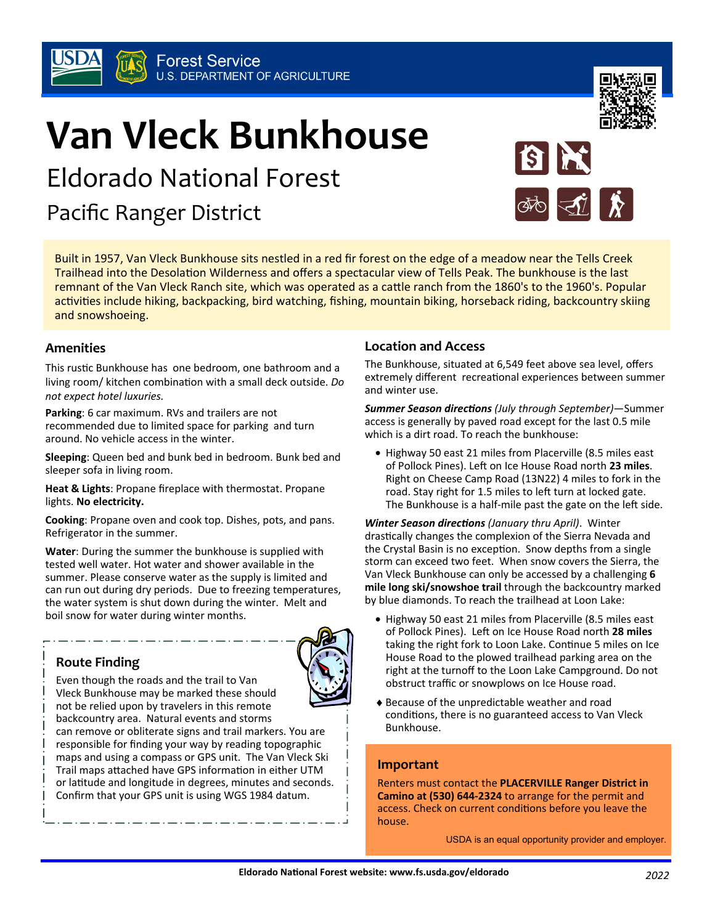# **Van Vleck Bunkhouse**

Eldorado National Forest

Pacific Ranger District

Built in 1957, Van Vleck Bunkhouse sits nestled in a red fir forest on the edge of a meadow near the Tells Creek Trailhead into the Desolation Wilderness and offers a spectacular view of Tells Peak. The bunkhouse is the last remnant of the Van Vleck Ranch site, which was operated as a cattle ranch from the 1860's to the 1960's. Popular activities include hiking, backpacking, bird watching, fishing, mountain biking, horseback riding, backcountry skiing and snowshoeing.

#### **Amenities**

This rustic Bunkhouse has one bedroom, one bathroom and a living room/ kitchen combination with a small deck outside. *Do not expect hotel luxuries.*

**Parking**: 6 car maximum. RVs and trailers are not recommended due to limited space for parking and turn around. No vehicle access in the winter.

**Sleeping**: Queen bed and bunk bed in bedroom. Bunk bed and sleeper sofa in living room.

**Heat & Lights**: Propane fireplace with thermostat. Propane lights. **No electricity.**

**Cooking**: Propane oven and cook top. Dishes, pots, and pans. Refrigerator in the summer.

**Water**: During the summer the bunkhouse is supplied with tested well water. Hot water and shower available in the summer. Please conserve water as the supply is limited and can run out during dry periods. Due to freezing temperatures, the water system is shut down during the winter. Melt and boil snow for water during winter months.

# **Route Finding**



Vleck Bunkhouse may be marked these should not be relied upon by travelers in this remote backcountry area. Natural events and storms can remove or obliterate signs and trail markers. You are responsible for finding your way by reading topographic maps and using a compass or GPS unit. The Van Vleck Ski Trail maps attached have GPS information in either UTM or latitude and longitude in degrees, minutes and seconds. Confirm that your GPS unit is using WGS 1984 datum.

Even though the roads and the trail to Van

## **Location and Access**

The Bunkhouse, situated at 6,549 feet above sea level, offers extremely different recreational experiences between summer and winter use.

19

*Summer Season directions (July through September)***—Summer** access is generally by paved road except for the last 0.5 mile which is a dirt road. To reach the bunkhouse:

• Highway 50 east 21 miles from Placerville (8.5 miles east of Pollock Pines). Left on Ice House Road north 23 miles. Right on Cheese Camp Road (13N22) 4 miles to fork in the road. Stay right for 1.5 miles to left turn at locked gate. The Bunkhouse is a half-mile past the gate on the left side.

*Winter Season directions (January thru April).* **Winter** drastically changes the complexion of the Sierra Nevada and the Crystal Basin is no exception. Snow depths from a single storm can exceed two feet. When snow covers the Sierra, the Van Vleck Bunkhouse can only be accessed by a challenging **6 mile long ski/snowshoe trail** through the backcountry marked by blue diamonds. To reach the trailhead at Loon Lake:

- Highway 50 east 21 miles from Placerville (8.5 miles east of Pollock Pines). Left on Ice House Road north 28 miles taking the right fork to Loon Lake. Continue 5 miles on Ice House Road to the plowed trailhead parking area on the right at the turnoff to the Loon Lake Campground. Do not obstruct traffic or snowplows on Ice House road.
- ♦ Because of the unpredictable weather and road conditions, there is no guaranteed access to Van Vleck Bunkhouse.

## **Important**

Renters must contact the **PLACERVILLE Ranger District in Camino at (530) 644-2324** to arrange for the permit and access. Check on current conditions before you leave the house.

USDA is an equal opportunity provider and employer.